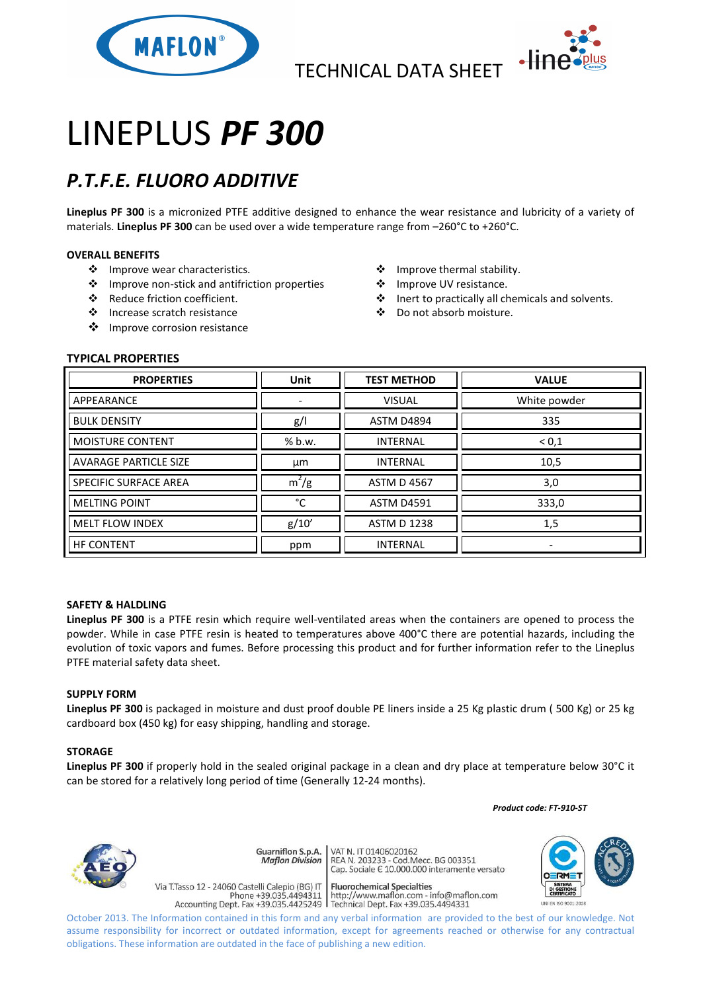



# LINEPLUS *PF 300*

## *P.T.F.E. FLUORO ADDITIVE*

**Lineplus PF 300** is a micronized PTFE additive designed to enhance the wear resistance and lubricity of a variety of materials. **Lineplus PF 300** can be used over a wide temperature range from –260°C to +260°C.

### **OVERALL BENEFITS**

- ❖ Improve wear characteristics.
- Improve non-stick and antifriction properties
- Reduce friction coefficient.
- Increase scratch resistance
- ❖ Improve corrosion resistance
- Improve thermal stability.
- ❖ Improve UV resistance.
- Inert to practically all chemicals and solvents.
- Do not absorb moisture.

### **TYPICAL PROPERTIES**

| <b>PROPERTIES</b>            | <b>Unit</b> | <b>TEST METHOD</b> | <b>VALUE</b> |
|------------------------------|-------------|--------------------|--------------|
| APPEARANCE                   |             | <b>VISUAL</b>      | White powder |
| <b>BULK DENSITY</b>          | g/          | <b>ASTM D4894</b>  | 335          |
| <b>MOISTURE CONTENT</b>      | % b.w.      | <b>INTERNAL</b>    | ${}^{<}0,1$  |
| <b>AVARAGE PARTICLE SIZE</b> | μm          | <b>INTERNAL</b>    | 10,5         |
| <b>SPECIFIC SURFACE AREA</b> | $m^2/g$     | <b>ASTM D 4567</b> | 3,0          |
| <b>MELTING POINT</b>         | °C          | <b>ASTM D4591</b>  | 333,0        |
| <b>MELT FLOW INDEX</b>       | g/10'       | <b>ASTM D 1238</b> | 1,5          |
| <b>HF CONTENT</b>            | ppm         | <b>INTERNAL</b>    |              |

#### **SAFETY & HALDLING**

**Lineplus PF 300** is a PTFE resin which require well-ventilated areas when the containers are opened to process the powder. While in case PTFE resin is heated to temperatures above 400°C there are potential hazards, including the evolution of toxic vapors and fumes. Before processing this product and for further information refer to the Lineplus PTFE material safety data sheet.

#### **SUPPLY FORM**

**Lineplus PF 300** is packaged in moisture and dust proof double PE liners inside a 25 Kg plastic drum ( 500 Kg) or 25 kg cardboard box (450 kg) for easy shipping, handling and storage.

#### **STORAGE**

**Lineplus PF 300** if properly hold in the sealed original package in a clean and dry place at temperature below 30°C it can be stored for a relatively long period of time (Generally 12-24 months).

 *Product code: FT-910-ST*



VAT N. IT 01406020162 Guarniflon S.p.A. **Maflon Division** 

Via T.Tasso 12 - 24060 Castelli Calepio (BG) IT

REA N. 11 01400020102<br>REA N. 203233 - Cod.Mecc. BG 003351<br>Cap. Sociale E 10.000.000 interamente versato

**Fluorochemical Specialties** rideso 12 - 24060 Castelli Calepio (BG) if<br>Phone +39.035.4494311 http://www.maflon.com - info@maflon.com<br>Accounting Dept. Fax +39.035.4425249 Technical Dept. Fax +39.035.4494331



October 2013. The Information contained in this form and any verbal information are provided to the best of our knowledge. Not assume responsibility for incorrect or outdated information, except for agreements reached or otherwise for any contractual obligations. These information are outdated in the face of publishing a new edition.